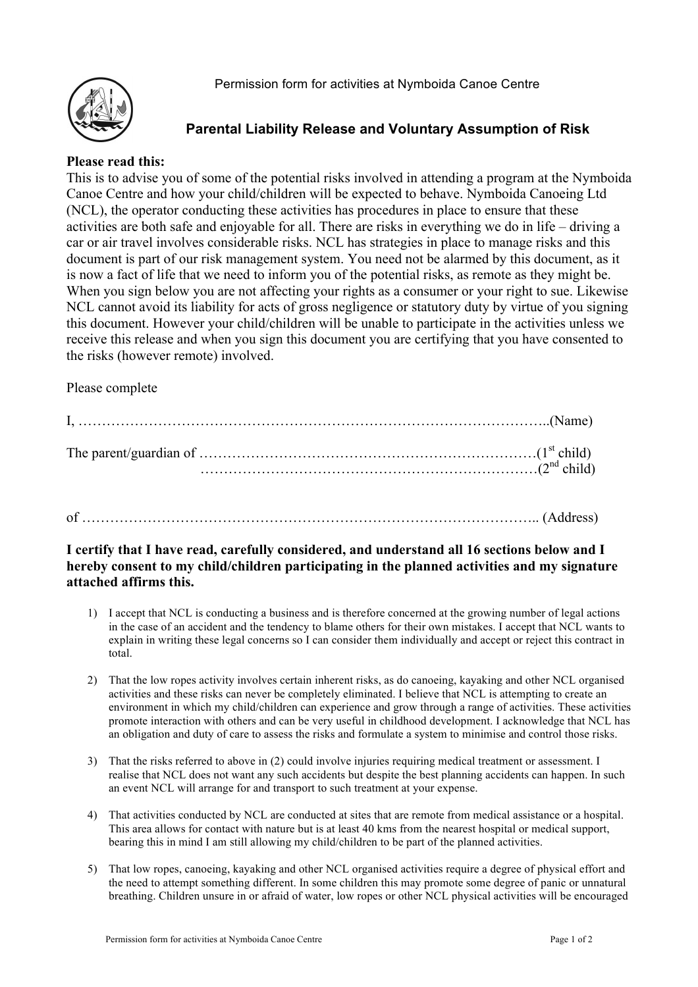

# **Parental Liability Release and Voluntary Assumption of Risk**

#### **Please read this:**

This is to advise you of some of the potential risks involved in attending a program at the Nymboida Canoe Centre and how your child/children will be expected to behave. Nymboida Canoeing Ltd (NCL), the operator conducting these activities has procedures in place to ensure that these activities are both safe and enjoyable for all. There are risks in everything we do in life – driving a car or air travel involves considerable risks. NCL has strategies in place to manage risks and this document is part of our risk management system. You need not be alarmed by this document, as it is now a fact of life that we need to inform you of the potential risks, as remote as they might be. When you sign below you are not affecting your rights as a consumer or your right to sue. Likewise NCL cannot avoid its liability for acts of gross negligence or statutory duty by virtue of you signing this document. However your child/children will be unable to participate in the activities unless we receive this release and when you sign this document you are certifying that you have consented to the risks (however remote) involved.

#### Please complete

## of …………………………………………………………………………………….. (Address)

### **I certify that I have read, carefully considered, and understand all 16 sections below and I hereby consent to my child/children participating in the planned activities and my signature attached affirms this.**

- 1) I accept that NCL is conducting a business and is therefore concerned at the growing number of legal actions in the case of an accident and the tendency to blame others for their own mistakes. I accept that NCL wants to explain in writing these legal concerns so I can consider them individually and accept or reject this contract in total.
- 2) That the low ropes activity involves certain inherent risks, as do canoeing, kayaking and other NCL organised activities and these risks can never be completely eliminated. I believe that NCL is attempting to create an environment in which my child/children can experience and grow through a range of activities. These activities promote interaction with others and can be very useful in childhood development. I acknowledge that NCL has an obligation and duty of care to assess the risks and formulate a system to minimise and control those risks.
- 3) That the risks referred to above in (2) could involve injuries requiring medical treatment or assessment. I realise that NCL does not want any such accidents but despite the best planning accidents can happen. In such an event NCL will arrange for and transport to such treatment at your expense.
- 4) That activities conducted by NCL are conducted at sites that are remote from medical assistance or a hospital. This area allows for contact with nature but is at least 40 kms from the nearest hospital or medical support, bearing this in mind I am still allowing my child/children to be part of the planned activities.
- 5) That low ropes, canoeing, kayaking and other NCL organised activities require a degree of physical effort and the need to attempt something different. In some children this may promote some degree of panic or unnatural breathing. Children unsure in or afraid of water, low ropes or other NCL physical activities will be encouraged